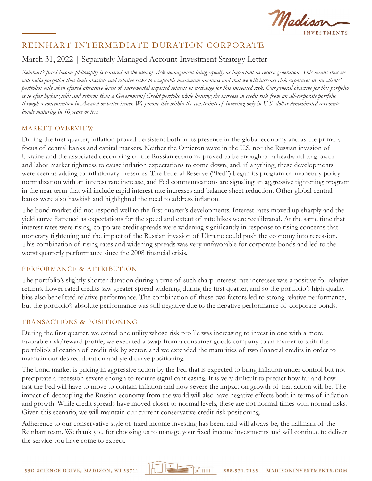

# REINHART INTERMEDIATE DURATION CORPORATE

## March 31, 2022 | Separately Managed Account Investment Strategy Letter

*Reinhart's fixed income philosophy is centered on the idea of risk management being equally as important as return generation. This means that we will build portfolios that limit absolute and relative risks to acceptable maximum amounts and that we will increase risk exposures in our clients' portfolios only when offered attractive levels of incremental expected returns in exchange for this increased risk. Our general objective for this portfolio is to offer higher yields and returns than a Government/Credit portfolio while limiting the increase in credit risk from an all-corporate portfolio through a concentration in A-rated or better issues. We pursue this within the constraints of investing only in U.S. dollar denominated corporate bonds maturing in 10 years or less.*

### MARKET OVERVIEW

During the first quarter, inflation proved persistent both in its presence in the global economy and as the primary focus of central banks and capital markets. Neither the Omicron wave in the U.S. nor the Russian invasion of Ukraine and the associated decoupling of the Russian economy proved to be enough of a headwind to growth and labor market tightness to cause inflation expectations to come down, and, if anything, these developments were seen as adding to inflationary pressures. The Federal Reserve ("Fed") began its program of monetary policy normalization with an interest rate increase, and Fed communications are signaling an aggressive tightening program in the near term that will include rapid interest rate increases and balance sheet reduction. Other global central banks were also hawkish and highlighted the need to address inflation.

The bond market did not respond well to the first quarter's developments. Interest rates moved up sharply and the yield curve flattened as expectations for the speed and extent of rate hikes were recalibrated. At the same time that interest rates were rising, corporate credit spreads were widening significantly in response to rising concerns that monetary tightening and the impact of the Russian invasion of Ukraine could push the economy into recession. This combination of rising rates and widening spreads was very unfavorable for corporate bonds and led to the worst quarterly performance since the 2008 financial crisis.

### PERFORMANCE & ATTRIBUTION

The portfolio's slightly shorter duration during a time of such sharp interest rate increases was a positive for relative returns. Lower rated credits saw greater spread widening during the first quarter, and so the portfolio's high-quality bias also benefitted relative performance. The combination of these two factors led to strong relative performance, but the portfolio's absolute performance was still negative due to the negative performance of corporate bonds.

#### TRANSACTIONS & POSITIONING

During the first quarter, we exited one utility whose risk profile was increasing to invest in one with a more favorable risk/reward profile, we executed a swap from a consumer goods company to an insurer to shift the portfolio's allocation of credit risk by sector, and we extended the maturities of two financial credits in order to maintain our desired duration and yield curve positioning.

The bond market is pricing in aggressive action by the Fed that is expected to bring inflation under control but not precipitate a recession severe enough to require significant easing. It is very difficult to predict how far and how fast the Fed will have to move to contain inflation and how severe the impact on growth of that action will be. The impact of decoupling the Russian economy from the world will also have negative effects both in terms of inflation and growth. While credit spreads have moved closer to normal levels, these are not normal times with normal risks. Given this scenario, we will maintain our current conservative credit risk positioning.

Adherence to our conservative style of fixed income investing has been, and will always be, the hallmark of the Reinhart team. We thank you for choosing us to manage your fixed income investments and will continue to deliver the service you have come to expect.

 $\mathbb{F}_1$   $\mathbb{F}_2$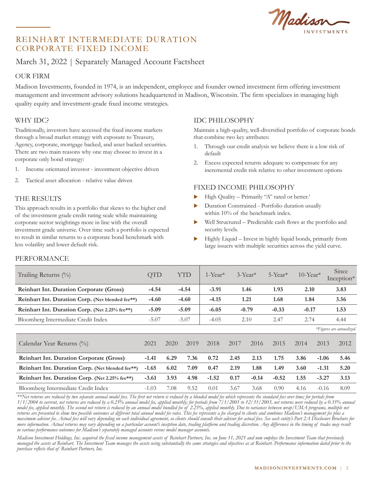Madison

## REINHART INTERMEDIATE DURATION CORPORATE FIXED INCOME

## March 31, 2022 | Separately Managed Account Factsheet

### OUR FIRM

Madison Investments, founded in 1974, is an independent, employee and founder owned investment firm offering investment management and investment advisory solutions headquartered in Madison, Wisconsin. The firm specializes in managing high quality equity and investment-grade fixed income strategies.

## WHY IDC?

Traditionally, investors have accessed the fixed income markets through a broad market strategy with exposure to Treasury, Agency, corporate, mortgage backed, and asset backed securities. There are two main reasons why one may choose to invest in a corporate only bond strategy:

- 1. Income orientated investor investment objective driven
- 2. Tactical asset allocation relative value driven

### THE RESULTS

This approach results in a portfolio that skews to the higher end of the investment grade credit rating scale while maintaining corporate sector weightings more in line with the overall investment grade universe. Over time such a portfolio is expected to result in similar returns to a corporate bond benchmark with less volatility and lower default risk.

## IDC PHILOSOPHY

Maintain a high-quality, well-diversified portfolio of corporate bonds that combine two key attributes:

- 1. Through our credit analysis we believe there is a low risk of default
- 2. Excess expected returns adequate to compensate for any incremental credit risk relative to other investment options

### FIXED INCOME PHILOSOPHY

- High Quality Primarily "A" rated or better.<sup>1</sup>
- Duration Constrained Portfolio duration usually within 10% of the benchmark index.
- Well Structured Predictable cash flows at the portfolio and security levels.
- Highly Liquid Invest in highly liquid bonds, primarily from large issuers with multiple securities across the yield curve.

#### PERFORMANCE

| Trailing Returns (%)                             | <b>QTD</b>         | <b>YTD</b> |         | $1$ -Year <sup>*</sup> |         | $3-Year*$ | $5$ -Year <sup>*</sup> | $10$ -Year* |         | Since<br>Inception*      |
|--------------------------------------------------|--------------------|------------|---------|------------------------|---------|-----------|------------------------|-------------|---------|--------------------------|
| <b>Reinhart Int. Duration Corporate (Gross)</b>  | $-4.54$            |            | $-4.54$ |                        | 1.46    |           | 1.93                   | 2.10        |         | 3.83                     |
| Reinhart Int. Duration Corp. (Net blended fee**) | $-4.60$<br>$-4.60$ |            |         | $-4.15$                | 1.21    |           | 1.68                   | 1.84        |         | 3.56                     |
| Reinhart Int. Duration Corp. (Net 2.25% fee**)   | $-5.09$<br>$-5.09$ |            |         | $-6.05$                | $-0.79$ |           | $-0.33$                | $-0.17$     |         | 1.53                     |
| Bloomberg Intermediate Credit Index              | $-5.07$            | $-5.07$    |         | $-4.05$                | 2.10    |           | 2.47                   | 2.74        |         | 4.44                     |
|                                                  |                    |            |         |                        |         |           |                        |             |         | *Figures are annualized. |
| Calendar Year Returns (%)                        | 2021               | 2020       | 2019    | 2018                   | 2017    | 2016      | 2015                   | 2014        | 2013    | 2012                     |
| <b>Reinhart Int. Duration Corporate (Gross)</b>  | $-1.41$            | 6.29       | 7.36    | 0.72                   | 2.45    | 2.13      | 1.75                   | 3.86        | $-1.06$ | 5.46                     |
| Reinhart Int. Duration Corp. (Net blended fee**) | $-1.65$            | 6.02       | 7.09    | 0.47                   | 2.19    | 1.88      | 1.49                   | 3.60        | $-1.31$ | 5.20                     |
| Reinhart Int. Duration Corp. (Net 2.25% fee**)   | $-3.61$            | 3.93       | 4.98    | $-1.52$                | 0.17    | $-0.14$   | $-0.52$                | 1.55        | $-3.27$ | 3.13                     |
| Bloomberg Intermediate Credit Index              | $-1.03$            | 7.08       | 9.52    | 0.01                   | 3.67    | 3.68      | 0.90                   | 4.16        | $-0.16$ | 8.09                     |

*\*\*Net returns are reduced by two separate annual model fees. The first net return is reduced by a blended model fee which represents the standard fees over time; for periods from 1/1/2004 to current, net returns are reduced by a 0.25% annual model fee, applied monthly; for periods from 7/1/2001 to 12/31/2003, net returns were reduced by a 0.35% annual model fee, applied monthly. The second net return is reduced by an annual model bundled fee of 2.25%, applied monthly. Due to variances between wrap/UMA programs, multiple net returns are presented to show two possible outcomes at different total annual model fee rates. This fee represents a fee charged to clients and combines Madison's management fee plus a maximum advisor fee. Actual fees will vary depending on each individual agreement, so clients should consult their advisor for actual fees. See each entity's Part 2A Disclosure Brochure for more information. Actual returns may vary depending on a particular account's inception date, trading platform and trading discretion. Any differences in the timing of trades may result in various performance outcomes for Madison's separately managed accounts versus model manager accounts.*

*Madison Investment Holdings, Inc. acquired the fixed income management assets of Reinhart Partners, Inc. on June 11, 2021 and now employs the Investment Team that previously managed the assets at Reinhart. The Investment Team manages the assets using substantially the same strategies and objectives as at Reinhart. Performance information dated prior to the purchase reflects that of Reinhart Partners, Inc.*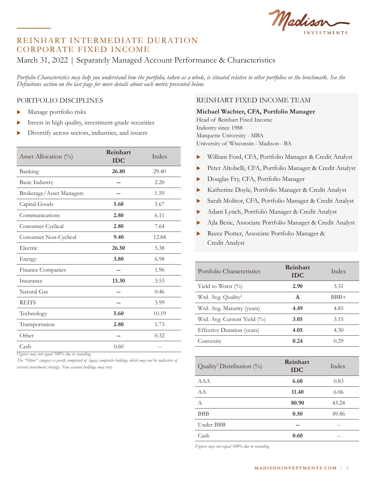Madison

## REINHART INTERMEDIATE DURATION CORPORATE FIXED INCOME

## March 31, 2022 | Separately Managed Account Performance & Characteristics

Portfolio Characteristics may help you understand how the portfolio, taken as a whole, is situated relative to other portfolios or the benchmark. See the *Definitions section on the last page for more details about each metric presented below.*

#### PORTFOLIO DISCIPLINES

- $\blacktriangleright$  Manage portfolio risks
- $\blacktriangleright$  Invest in high quality, investment-grade securities
- $\triangleright$  Diversify across sectors, industries, and issuers

| Asset Allocation $(\%)$  | Reinhart<br><b>IDC</b> | Index |
|--------------------------|------------------------|-------|
| Banking                  | 26.80                  | 29.40 |
| <b>Basic Industry</b>    |                        | 2.20  |
| Brokerage/Asset Managers |                        | 1.59  |
| Capital Goods            | 5.60                   | 5.67  |
| Communications           | 2.80                   | 6.11  |
| Consumer Cyclical        | 2.80                   | 7.64  |
| Consumer Non-Cyclical    | 9.40                   | 12.84 |
| Electric                 | 26.50                  | 5.38  |
| Energy                   | 3.80                   | 6.98  |
| Finance Companies        |                        | 1.96  |
| Insurance                | 13.30                  | 3.53  |
| Natural Gas              |                        | 0.46  |
| <b>REITS</b>             |                        | 3.99  |
| Technology               | 5.60                   | 10.19 |
| Transportation           | 2.80                   | 1.73  |
| Other                    |                        | 0.32  |
| Cash                     | 0.60                   |       |

*Figures may not equal 100% due to rounding.* 

*The "Other" category is partly comprised of legacy composite holdings which may not be indicative of current investment strategy. New account holdings may vary.* 

## REINHART FIXED INCOME TEAM

#### **Michael Wachter, CFA, Portfolio Manager**

Head of Reinhart Fixed Income Industry since 1988 Marquette University - MBA University of Wisconsin - Madison - BA

- X William Ford, CFA, Portfolio Manager & Credit Analyst
- Peter Altobelli, CFA, Portfolio Manager & Credit Analyst
- Douglas Fry, CFA, Portfolio Manager
- X Katherine Doyle, Portfolio Manager & Credit Analyst
- Sarah Molitor, CFA, Portfolio Manager & Credit Analyst
- Adam Lynch, Portfolio Manager & Credit Analyst
- X Ajla Besic, Associate Portfolio Manager & Credit Analyst
- Reece Piotter, Associate Portfolio Manager & Credit Analyst

| Portfolio Characteristics             | Reinhart<br><b>IDC</b> | Index |
|---------------------------------------|------------------------|-------|
| Yield to Worst $(\%)$                 | 2.90                   | 3.31  |
| Wtd. Avg. Quality <sup>2</sup>        | $\mathbf{A}$           | BBB+  |
| Wtd. Avg. Maturity (years)            | 4.49                   | 4.85  |
| Wtd. Avg. Current Yield (%)           | 3.05                   | 3.15  |
| Effective Duration (years)            | 4.05                   | 4.30  |
| Convexity                             | 0.24                   | 0.29  |
|                                       |                        |       |
| Quality <sup>1</sup> Distribution (%) | Reinhart<br><b>IDC</b> | Index |
| AAA                                   | 6.60                   | 0.83  |
| A A                                   | 11.40                  | 6.06  |
| A                                     | 80.90                  | 43.24 |

BBB **0.50** 49.86 Under BBB **--** -- Cash **0.60** --

*Figures may not equal 100% due to rounding.*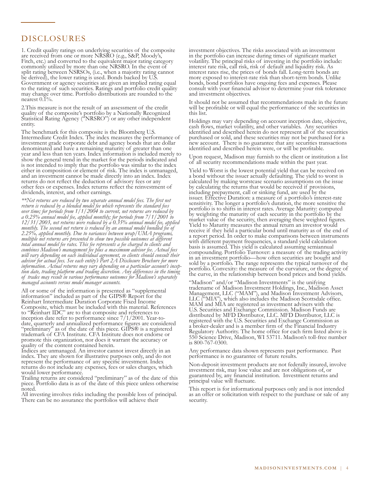#### DISCLOSURES DISCLOSURES

are received from one or more NRSRO (e.g., S&P, Moody's, Fitch, etc.) and converted to the equivalent major rating category commonly utilized by more than one NRSRO. In the event of split rating between NSRSOs, (i.e., when a majority rating cannot be derived), the lower rating is used. Bonds backed by U.S. Government or agency securities are given an implied rating equal to the rating of such securities. Ratings and portfolio credit quality may change over time. Portfolio distributions are rounded to the mearest  $0.1\%$ . 1. Credit quality ratings on underlying securities of the composite

2. This measure is not the result of an assessment of the credit quality of the composite's portfolio by a Nationally Recognized Statistical Rating Agency ("NRSRO") or any other independent  $S<sub>0</sub>$  and  $S<sub>0</sub>$  or any other independent independent independent independent independent independent independent independent in  $S<sub>0</sub>$  or any other independent independent in  $S<sub>0</sub>$  or any other independ quality of the composite's portfolio by a Nationally Recognized Statistical Rating Agency ("NRSRO") or any other independent entity.

The benchmark for this composite is the Bloomberg U.S. Intermediate Credit Index. The index measures the perfor investment grade corporate debt and agency bonds that are dollar denominated and have a remaining maturity of greater than one year and less than ten years. Index information is included merely to show the general trend in the market for the periods indicated and is not intended to imply that the portfolio was similar to the index either in composition or element of risk. The index is unmanaged, and an investment cannot be made directly into an index. Index returns do not reflect the deduction of advisory fees or any other fees or expenses. Index returns reflect the reinvestment of dividends, interest, and other earnings. Intermediate Credit Index. The index measures the performance of investment grade corporate debt and agency bonds that are dollar

\*\*Net returns are reduced by two separate annual model fees. The first net return is reduced by a blended model fee which represents the standard fees<sub>.</sub> *return is reduced by a blended model fee which represents the standard fees*  a 0.25% annual model fee, applied monthly; for periods from 7/1/2001 to 12/31/2003, net returns were reduced by a 0.35% annual model fee, appli *monthly. The second net return is reduced by an annual model bundled fee of* 2.25%, applied monthly. Due to variances between wrap/UMA programs, *2.25%, applied monthly. Due to variances between wrap/UMA programs, multiple net returns are presented to show two possible outcomes at different*  total annual model fee rates. This fee represents a fee charged to clients and combines Madison's management fee plus a maximum advisor fee. Actual f *combines Madison's management fee plus a maximum advisor fee. Actual fees will vary depending on each individual agreement, so clients should consult their advisor for actual fees. See each entity's Part 2A Disclosure Brochure for more advisor for actual fees. See each entity's Part 2A Disclosure Brochure for more*  tion date, trading platform and trading discretion. Any differences in the timing<br>of trades may result in various performance outcomes for Madison's separately *of trades may result in various performance outcomes for Madison's separately managed accounts versus model manager accounts. return is reduced by a blended model fee which represents the standard fees over time; for periods from 1/1/2004 to current, net returns are reduced by a 0.25% annual model fee, applied monthly; for periods from 7/1/2001 to 12/31/2003, net returns were reduced by a 0.35% annual model fee, applied monthly. The second net return is reduced by an annual model bundled fee of 2.25%, applied monthly. Due to variances between wrap/UMA programs, total annual model fee rates. This fee represents a fee charged to clients and combines Madison's management fee plus a maximum advisor fee. Actual fees will vary depending on each individual agreement, so clients should consult their information. Actual returns may vary depending on a particular account's incep- tion date, trading platform and trading discretion. Any differences in the timing of trades may result in various performance outcomes for Madison's separately* 

All or some of the information is presented as "supplemental information" included as part of the GIPS® Report for the Reinhart Intermediate Duration Corporate Fixed Income Composite, which must be included with this material. Rei to "Reinhart IDC" are to that composite and references to inception date refer to performance since 7/1/2001. Year-todate, quarterly and annualized performance figures are consid "preliminary" as of the date of this piece.  $\text{GIPS@}$  is a registered trademark of CFA Institute. CFA Institute does not endorse or promote this organization, nor does it warrant the accuracy or quality of the content contained herein. Composite, which must be included with this material. References to "Reinhart IDC" are to that composite and references to date, quarterly and annualized performance figures are considered "preliminary" as of the date of this piece. GIPS® is a registered

Indices are unmanaged. An investor cannot invest directly in an index. They are shown for illustrative purposes only, and do not represent the performance of any specific investment. Index returns do not include any expenses, fees or sales charges, which would lower performance. would lower performance.

Trailing returns are conside piece. Portfolio data is as of the date of this piece unless otherwise proted. Portfolio data is as of the data is as of the data is as of the date of the date of this piece unless o Trailing returns are considered "preliminary" as of the date of this piece. Portfolio data is as of the date of this piece unless otherwise noted.

All investing involves risks including the possible loss of principal. There can be no assurance the portfolios will achieve their  $T$ 

in the portfolio can increase during times of significant market volatility. The principal risks of investing in the portfolio include: interest rate risk, call risk, risk of default and liquidity risk. As interest rates rise, the prices of bonds fall. Long-term bonds are more exposed to interest-rate risk than short-term bonds. Unlike bonds, bond portfolios have ongoing fees and expenses. Please consult with your financial advisor to determine your risk tolerance and investment objectives. and investment objectives.<br>It should not be assumed that recommendations made in the future investment objectives. The risks associated with an investment

will be profitable or will equal the performance of the securities in this list. It should not be assumed that recommendations made in the future will be profitable or will equal the performance of the securities in this list.

Holdings may vary depending on account inception date, objective, cash flows, market volatility, and other variables. Any securities identified and described herein do not represent all of the securities purchased or sold, and these securities may not be purchased for a new account. There is no guarantee that any securities transactions identified and described herein were, or will be profitable.

Upon request, Madison may furnish to the client or institution a list of all security recommendations made within the past year.

Yield to Worst is the lowest potential yield that can be received on a bond without the issuer actually defaulting. The yield to worst is calculated by making worstcase scenario assumptions on the issue<br>by calculating the returns that would be received if provisions, by calculating the returns that would be received if provisions, including prepayment, call or sinking fund, are used by the issuer. Effective Duration: a measure of a portfolio's interest-rate sensitivity. The longer a portfolio's duration, the more sensitive the portfolio is to shifts in interest rates. Average Maturity: computed by weighting the maturity of each security in the portfolio by the market value of the security, then averaging these weighted figures. Yield to Maturity measures the annual return an investor would receive if they held a particular bond until maturity as of the end of a report period. In order to make comparisons between instruments with different payment frequencies, a standard yield calculation basis is assumed. This yield is calculated assuming semiannual compounding. Portfolio Turnover: a measure of the trading activity in an investment portfolio—how often securities are bought and sold by a portfolio. The range represents the typical turnover of the portfolio. Convexity: the measure of the curvature, or the degree of the curve, in the relationship between bond prices and bond yields.

"Madison" and/or "Madison Investments" is the unifying tradename of Madison Investment Holdings, Inc., Madison Management, LLC ("MAM"), and Madison Investment Advisors, LLC ("MIA"), which also includes the Madison Scottsdale office. MAM and MIA are registered as investment advisers with the U.S. Securities and Exchange Commission. Madison Funds are distributed by MFD Distributor, LLC. MFD Distributor, LLC is registered with the U.S. Securities and Exchange Commission as a broker-dealer and is a member firm of the Financial Industry Regulatory Authority. The home office for each firm listed above is 550 Science Drive, Madison, WI 53711. Madison's toll-free number is 800-767-0300. is  $800 - 767 - 0300$ . tradename of Madison Investment Holdings, Inc., Madison Asset Management, LLC ("MAM"), and Madison Investment Advisors, LLC ("MIA"), which also includes the Madison Scottsdale office.

Any performance data shown represents past performance. Past performance is no guarantee of future results.

n<br>Non-deposit investment products are not federally insured, involve investment risk, may lose value and are not obligations of, or guaranteed by, any financial institution. Investment returns and principal value will fluctuate.

This report is for informational purposes only and is not intended as an offer or solicitation with respect to the purchase or sale of any  $\alpha$  security. security. security.